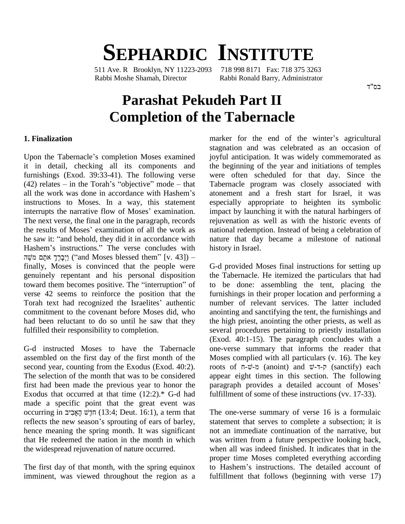# **SEPHARDIC INSTITUTE**

511 Ave. R Brooklyn, NY 11223-2093 718 998 8171 Fax: 718 375 3263 Rabbi Moshe Shamah, Director Rabbi Ronald Barry, Administrator

## **Parashat Pekudeh Part II Completion of the Tabernacle**

### **1. Finalization**

Upon the Tabernacle's completion Moses examined it in detail, checking all its components and furnishings (Exod. 39:33-41). The following verse it in detail, checking all its components and<br>furnishings (Exod. 39:33-41). The following verse<br>(42) relates – in the Torah's "objective" mode – that furnishings (Exod. 39:33-41). The following verse we<br>(42) relates – in the Torah's "objective" mode – that Ta<br>all the work was done in accordance with Hashem's atc instructions to Moses. In a way, this statement all the work was done in accordance with Hashem's<br>instructions to Moses. In a way, this statement<br>interrupts the narrative flow of Moses' examination. The next verse, the final one in the paragraph, records rejuvident results of Moses' examination of all the work as national he saw it: "and behold, they did it in accordance with nature interrupts the narrative flow of Moses' examination.<br>The next verse, the final one in the paragraph, records<br>the results of Moses' examination of all the work as the results of Moses' examination of all the work as<br>he saw it: "and behold, they did it in accordance with<br>Hashem's instructions." The verse concludes with histo he saw it: "and behold, they did it in accordance with saw it: "and behold, they did it in accordance with<br>natures instructions." The verse concludes with histo<br>isto (iv. 43]) הַיְבָּרֶךְ אתָם מ''' (iand Moses blessed them'' [v. 43]) finally, Moses is convinced that the people were genuinely repentant and his personal disposition finally, Moses is convinced that the people were<br>genuinely repentant and his personal disposition the<br>toward them becomes positive. The "interruption" of to verse 42 seems to reinforce the position that the toward them becomes positive. The "interruption" of<br>verse 42 seems to reinforce the position that the<br>Torah text had recognized the Israelites' authentic commitment to the covenant before Moses did, who had been reluctant to do so until he saw that they fulfilled their responsibility to completion.

G-d instructed Moses to have the Tabernacle assembled on the first day of the first month of the second year, counting from the Exodus (Exod. 40:2). The selection of the month that was to be considered first had been made the previous year to honor the paragraph provides a detailed account of Moses' Exodus that occurred at that time  $(12:2)*$  G-d had made a specific point that the great event was Exodus that occurred at that time  $(12:2)*$  G-d had fulfill made a specific point that the great event was occurring in  $\vec{y}$   $\vec{y}$   $\vec{y}$   $\vec{y}$   $\vec{y}$   $\vec{y}$   $\vec{y}$   $\vec{y}$   $\vec{z}$  a term that The order made a specific point that the great event was occurring in הְלֵשׁ הָאָבִיב (13:4; Deut. 16:1), a term that reflects the new season's sprouting of ears of barley, hence meaning the spring month. It was significant that He redeemed the nation in the month in which the widespread rejuvenation of nature occurred.

imminent, was viewed throughout the region as a

marker for the end of the winter's agricultural stagnation and was celebrated as an occasion of joyful anticipation. It was widely commemorated as the beginning of the year and initiations of temples were often scheduled for that day. Since the Tabernacle program was closely associated with atonement and a fresh start for Israel, it was especially appropriate to heighten its symbolic impact by launching it with the natural harbingers of rejuvenation as well as with the historic events of national redemption. Instead of being a celebration of nature that day became a milestone of national history in Israel.

G-d provided Moses final instructions for setting up the Tabernacle. He itemized the particulars that had to be done: assembling the tent, placing the furnishings in their proper location and performing a number of relevant services. The latter included anointing and sanctifying the tent, the furnishings and the high priest, anointing the other priests, as well as several procedures pertaining to priestly installation (Exod. 40:1-15). The paragraph concludes with a one-verse summary that informs the reader that Moses complied with all particulars (v. 16). The key one-verse summary that informs the reader that<br>Moses complied with all particulars (v. 16). The key<br>roots of  $\pi$ - $\ddot{v}$ - $\alpha$  (anoint) and  $\ddot{v}$ - $\tau$ - $\beta$  (sanctify) each appear eight times in this section. The following roots of  $\overline{n}$ - $\overline{v}$ - $\alpha$  (anoint) and  $\overline{v}$ - $\overline{n}$ - $\overline{v}$ - $\overline{q}$  (sanctify) each appear eight times in this section. The following paragraph provides a detailed account of Moses' fulfillment of some of these instructions (vv. 17-33).

The first day of that month, with the spring equinox to Hashem's instructions. The detailed account of The one-verse summary of verse 16 is a formulaic statement that serves to complete a subsection; it is not an immediate continuation of the narrative, but was written from a future perspective looking back, when all was indeed finished. It indicates that in the proper time Moses completed everything according<br>to Hashem's instructions. The detailed account of proper time Moses completed everything according fulfillment that follows (beginning with verse 17)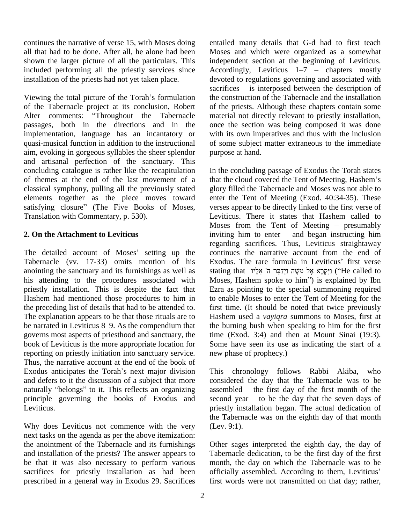continues the narrative of verse 15, with Moses doing all that had to be done. After all, he alone had been shown the larger picture of all the particulars. This included performing all the priestly services since installation of the priests had not yet taken place. devo<br>sacri<br>Viewing the total picture of the Torah's formulation the c

of the Tabernacle project at its conclusion, Robert Viewing the total picture of the Torah's formulation<br>of the Tabernacle project at its conclusion, Robert of t<br>Alter comments: "Throughout the Tabernacle mat passages, both in the directions and in the implementation, language has an incantatory or quasi-musical function in addition to the instructional aim, evoking in gorgeous syllables the sheer splendor and artisanal perfection of the sanctuary. This concluding catalogue is rather like the recapitulation of themes at the end of the last movement of a classical symphony, pulling all the previously stated elements together as the piece moves toward classical symphony, pulling all the previously stated<br>elements together as the piece moves toward<br>satisfying closure" (The Five Books of Moses, Translation with Commentary, p. 530).

### **2. On the Attachment to Leviticus**

Tabernacle (vv. 17-33) omits mention of his anointing the sanctuary and its furnishings as well as stating that "וַיִּקְרָא אֵל מֹשֶׁה וַיִּדְבָּר ה' אֱלֵיו "He called to his attending to the procedures associated with Moses, Hashem spoke to him") is explained by Ibn priestly installation. This is despite the fact that Hashem had mentioned those procedures to him in the preceding list of details that had to be attended to. The explanation appears to be that those rituals are to Hash the preceding list of details that had to be attended to. first the explanation appears to be that those rituals are to Hash-<br>be narrated in Leviticus 8–9. As the compendium that the b governs most aspects of priesthood and sanctuary, the book of Leviticus is the more appropriate location for reporting on priestly initiation into sanctuary service. new<br>Thus, the narrative account at the end of the book of<br>Exodus anticipates the Torah's next major division This Thus, the narrative account at the end of the book of and defers to it the discussion of a subject that more Exodus anticipates the Torah's next major division<br>and defers to it the discussion of a subject that more<br>naturally "belongs" to it. This reflects an organizing principle governing the books of Exodus and second year – to be the day that the seven days of Leviticus.

Why does Leviticus not commence with the very next tasks on the agenda as per the above itemization: the anointment of the Tabernacle and its furnishings and installation of the priests? The answer appears to be that it was also necessary to perform various sacrifices for priestly installation as had been officially assembled. According to them, Leviticus' prescribed in a general way in Exodus 29. Sacrifices

entailed many details that G-d had to first teach Moses and which were organized as a somewhat independent section at the beginning of Leviticus. Moses and which were organized as a somewhat<br>independent section at the beginning of Leviticus.<br>Accordingly, Leviticus  $1-7$  – chapters mostly devoted to regulations governing and associated with<br>sacrifices – is interposed between the description of Accordingly, Leviticus  $1-7$  – chapters mostly<br>devoted to regulations governing and associated with<br>sacrifices – is interposed between the description of the construction of the Tabernacle and the installation of the priests. Although these chapters contain some material not directly relevant to priestly installation, once the section was being composed it was done with its own imperatives and thus with the inclusion of some subject matter extraneous to the immediate purpose at hand.

2. On the Attachment to Leviticus<br>
regarding him to enter – and began instructing him<br>
regarding sacrifices. Thus, Leviticus straight<br>
regarding sacrifices. Thus, Leviticus straight<br>
regarding sacrifices. Thus, Leviticus s In the concluding passage of Exodus the Torah states In the concluding passage of Exodus the Torah states<br>that the cloud covered the Tent of Meeting, Hashem's glory filled the Tabernacle and Moses was not able to enter the Tent of Meeting (Exod. 40:34-35). These verses appear to be directly linked to the first verse of Leviticus. There it states that Hashem called to verses appear to be directly linked to the first verse of<br>Leviticus. There it states that Hashem called to<br>Moses from the Tent of Meeting – presumably Leviticus. There it states that Hashem called to<br>Moses from the Tent of Meeting – presumably<br>inviting him to enter – and began instructing him regarding sacrifices. Thus, Leviticus straightaway continues the narrative account from the end of regarding sacrifices. Thus, Leviticus straightaway<br>continues the narrative account from the end of<br>Exodus. The rare formula in Leviticus' first verse continues the narrative account from the end of<br>Exodus. The rare formula in Leviticus' first verse<br>stating that יַיִּקְרָא אֶל מֹשֶׁה וַיְדַבֵּר ה' אֵלְיו Exodus. The rare formula in Leviticus' first verse<br>stating that יִיקְרָא אֶל מֹשֶׁה וַיְדַבֵּר ה' אֵלָיו ("He called to<br>Moses, Hashem spoke to him") is explained by Ibn Ezra as pointing to the special summoning required to enable Moses to enter the Tent of Meeting for the first time. (It should be noted that twice previously Hashem used a *vayiqra* summons to Moses, first at the burning bush when speaking to him for the first time (Exod. 3:4) and then at Mount Sinai (19:3). Some have seen its use as indicating the start of a new phase of prophecy.)

> This chronology follows Rabbi Akiba, who considered the day that the Tabernacle was to be This chronology follows Rabbi Akiba, who<br>considered the day that the Tabernacle was to be<br>assembled – the first day of the first month of the considered the day that the Tabernacle was to be assembled  $-$  the first day of the first month of the second year  $-$  to be the day that the seven days of priestly installation began. The actual dedication of the Tabernacle was on the eighth day of that month (Lev. 9:1).

Other sages interpreted the eighth day, the day of Tabernacle dedication, to be the first day of the first<br>month, the day on which the Tabernacle was to be<br>officially assembled. According to them, Leviticus' month, the day on which the Tabernacle was to be first words were not transmitted on that day; rather,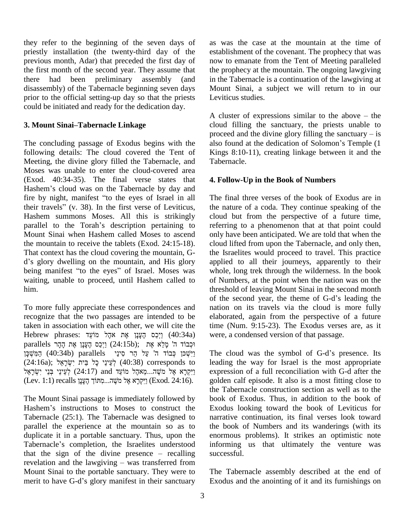they refer to the beginning of the seven days of priestly installation (the twenty-third day of the previous month, Adar) that preceded the first day of the first month of the second year. They assume that there had been preliminary assembly (and disassembly) of the Tabernacle beginning seven days prior to the official setting-up day so that the priests could be initiated and ready for the dedication day. **3. Mount SinaiñTabernacle Linkage**

The concluding passage of Exodus begins with the also found at the dedication of Solomon's Temple (1) following details: The cloud covered the Tent of Meeting, the divine glory filled the Tabernacle, and Moses was unable to enter the cloud-covered area<br>(Exod. 40:34-35). The final verse states that 4. For<br>Hashem's cloud was on the Tabernacle by day and (Exod. 40:34-35). The final verse states that (Exod. 40:34-35). The final verse states that 4<br>Hashem's cloud was on the Tabernacle by day and<br>fire by night, manifest "to the eyes of Israel in all Hashem's cloud was on the Tabernacle by day and<br>fire by night, manifest "to the eyes of Israel in all<br>their travels" (v. 38). In the first verse of Leviticus, Hashem summons Moses. All this is strikingly their travels" (v. 38). In the first verse of Leviticus,<br>Hashem summons Moses. All this is strikingly<br>parallel to the Torah's description pertaining to Mount Sinai when Hashem called Moses to ascend the mountain to receive the tablets (Exod. 24:15-18). That context has the cloud covering the mountain, G the mountain to receive the tablets (Exod. 24:15-18). cloud<br>That context has the cloud covering the mountain, G-<br>d's glory dwelling on the mountain, and His glory appli That context has the cloud covering the mountain, G-<br>d's glory dwelling on the mountain, and His glory app<br>being manifest "to the eyes" of Israel. Moses was wh waiting, unable to proceed, until Hashem called to him.

To more fully appreciate these correspondences and recognize that the two passages are intended to be taken in association with each other, we will cite the time recognize that the two passages are intended to be<br>taken in association with each other, we will cite the ti:<br>Hebrew phrases: יַיְכָּס הֶעֲנָן אֶת אהֶל מוֹעֵד (40:34a) w taken in association with each other, we will cite the<br>Hebrew phrases: וַיְכַּס הֶעָּנָן אֶת אקל מוֹעֵד<br>parallels הָכְבוֹד ה' מְלֵא אֶת ) וַיְכַס הֶעָּנָן אֶת הָהָר ʯ˗ʕˇʍ ˙ʑʤʔ (40:34b) parallels ʩʔʰʩʱʑ ʸʤʔ ʬʲʔ ʤ ʣˣʡ˗ʍ ʯ˗ˇʍʑ˕ʔʥ (24:16a); ʬʠʒʸʕˈʍʑʩ ʺʩˎʒ ʬʫʕ ʩʒʰʩʲʒʬʍ (40:38) corresponds to המֹשֶׁכּן (40:34b) parallels וישָׁכּן הַמֹּשֵׁכּן ֹפְיִשְׁכּוֹ לְכוֹד ה' עַל הַר סִינַי (24:34b) parallels יִישְׁכָאַל (24:34b) זְ $\left( 40:38\right)$  corresponds to  $1$ ן) נִיִּקְרָא אֶל מֹשֶׁה...מֵאהֶל מוֹעֵד and יִנִיִּקְרָא אֶל מִשֶּׁה...מֵאהֶל מוֹעֵד (24:16a); לְעֵינֵי כָל בֵּית יִשְׂרָאֵל (40:38) corresponds to<br>וַיִּקְרָא אֶל מֹשֶׁה...מֵאהֶל מוֹעֵד and (24:17) and וַיִּקְרָא אֶל מֹשֶׁה...מֵאהָל מוֹעֵד<br>(Exod. 24:16). נַיִּקְרָא אֶל מֹשֶׂה...מִתּוֹךְ הֶעָנָן)

The Mount Sinai passage is immediately followed by Hashem's instructions to Moses to construct the Tabernacle (25:1). The Tabernacle was designed to parallel the experience at the mountain so as to the l<br>duplicate it in a portable sanctuary. Thus, upon the enorm<br>Tabernacle's completion, the Israelites understood infor duplicate it in a portable sanctuary. Thus, upon the duplicate it in a portable sanctuary. Thus, upon the enormal endemance's completion, the Israelites understood inforthat the sign of the divine presence – recalling succe Tabernacle's completion, the Israelites understood informing<br>that the sign of the divine presence – recalling successfu<br>revelation and the lawgiving – was transferred from Mount Sinai to the portable sanctuary. They were to revelation and the lawgiving – was transferred from<br>Mount Sinai to the portable sanctuary. They were to<br>merit to have G-d's glory manifest in their sanctuary

as was the case at the mountain at the time of establishment of the covenant. The prophecy that was now to emanate from the Tent of Meeting paralleled the prophecy at the mountain. The ongoing lawgiving in the Tabernacle is a continuation of the lawgiving at Mount Sinai, a subject we will return to in our Leviticus studies.

A cluster of expressions similar to the above  $-$  the cloud filling the sanctuary, the priests unable to A cluster of expressions similar to the above – the cloud filling the sanctuary, the priests unable to proceed and the divine glory filling the sanctuary – is cloud filling the sanctuary, the priests unable to<br>proceed and the divine glory filling the sanctuary  $-$  is<br>also found at the dedication of Solomon's Temple (1 Kings 8:10-11), creating linkage between it and the Tabernacle.

### **4. Follow-Up in the Book of Numbers**

The final three verses of the book of Exodus are in the nature of a coda. They continue speaking of the cloud but from the perspective of a future time, referring to a phenomenon that at that point could only have been anticipated. We are told that when the cloud lifted from upon the Tabernacle, and only then, the Israelites would proceed to travel. This practice applied to all their journeys, apparently to their whole, long trek through the wilderness. In the book of Numbers, at the point when the nation was on the threshold of leaving Mount Sinai in the second month of the second year, the theme of G-d's leading the threshold of leaving Mount Sinai in the second month nation on its travels via the cloud is more fully elaborated, again from the perspective of a future time (Num. 9:15-23). The Exodus verses are, as it were, a condensed version of that passage.

The cloud was the symbol of G-d's presence. Its leading the way for Israel is the most appropriate expression of a full reconciliation with G-d after the golden calf episode. It also is a most fitting close to the Tabernacle construction section as well as to the book of Exodus. Thus, in addition to the book of Exodus looking toward the book of Leviticus for narrative continuation, its final verses look toward the book of Numbers and its wanderings (with its enormous problems). It strikes an optimistic note informing us that ultimately the venture was successful.

The Tabernacle assembly described at the end of Exodus and the anointing of it and its furnishings on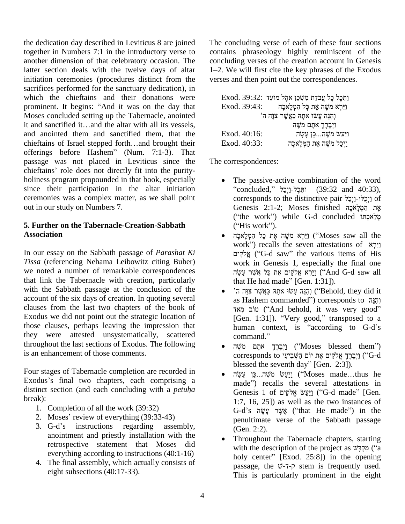the dedication day described in Leviticus 8 are joined together in Numbers 7:1 in the introductory verse to another dimension of that celebratory occasion. The latter section deals with the twelve days of altar 1–2. We will first cite the key phrases of the Exodus initiation ceremonies (procedures distinct from the sacrifices performed for the sanctuary dedication), in which the chieftains and their donations were sacrifices performed for the sanctuary dedication), in<br>which the chieftains and their donations were<br>prominent. It begins: "And it was on the day that Moses concluded setting up the Tabernacle, anointed prominent. It begins: "And it was on the day that<br>Moses concluded setting up the Tabernacle, anointed<br>it and sanctified it...and the altar with all its vessels. and anointed them and sanctified them, that the it and sanctified it...and the altar with all its vessels,<br>and anointed them and sanctified them, that the<br>chieftains of Israel stepped forth...and brought their and anointed them and sanctified them, that the chieftains of Israel stepped forth...and brought their offerings before Hashem" (Num. 7:1-3). That passage was not placed in Leviticus since the offerings before Hashem" (Num. 7:1-3). That<br>passage was not placed in Leviticus since the T<br>chieftains' role does not directly fit into the purityholiness program propounded in that book, especially since their participation in the altar initiation ceremonies was a complex matter, as we shall point out in our study on Numbers 7.

### **5. Further on the Tabernacle-Creation-Sabbath Association**

In our essay on the Sabbath passage of *Parashat Ki Tissa* (referencing Nehama Leibowitz citing Buber) we noted a number of remarkable correspondences that link the Tabernacle with creation, particularly with the Sabbath passage at the conclusion of the account of the six days of creation. In quoting several clauses from the last two chapters of the book of Exodus we did not point out the strategic location of those clauses, perhaps leaving the impression that they were attested unsystematically, scattered throughout the last sections of Exodus. The following is an enhancement of those comments.

Four stages of Tabernacle completion are recorded in Exodus's final two chapters, each comprising a distinct section (and each concluding with <sup>a</sup> *petuh<sup>a</sup>* break):

- 1. Completion of all the work (39:32)
- 2. Moses' review of everything (39:33-43)
- 3. G-d's instructions regarding assembly, anointment and priestly installation with the retrospective statement that Moses did everything according to instructions (40:1-16)
- 4. The final assembly, which actually consists of eight subsections (40:17-33).

The concluding verse of each of these four sections contains phraseology highly reminiscent of the concluding verses of the creation account in Genesis 1–2. We will first cite the key phrases of the Exodus concluding verses of the creation account in Genesis verses and then point out the correspondences.<br>Exod. 39:32: יַתְּכָל כָּל עֲבדַת מִשְׁכַּן אֹהֶל

|                                           | Fxod. 39:32: יַחֲכָל כָּל עֲבדַת מְשִׁכַּן אהֶל מוֹעֵד |
|-------------------------------------------|--------------------------------------------------------|
| Exod. 39:43:                              | וַיַּרִא מֹשֵׁה אֵת כָּל הַמְּלַאכָה                   |
| וְהָנֵּה עֲשׂוּ אתַהּ כַּאֲשֶׁר צְוַּה ה' |                                                        |
|                                           | וַיִּבָרֵךְ אתָם מֹשֶׁה                                |
| Exod. 40:16:                              | וַיַּעֲשׂ מֹשֶׁהכֵּן עֲשָׂה                            |
| Exod. 40:33:                              | וַיְכַל מֹשֶׁה אֶת הַמְּלָאכָה                         |
|                                           |                                                        |

The correspondences:

- The passive-active combination of the word  $\text{``concluded''}$  'הַכֵּל-וַיִּכַל' (39:32 and 40:33), The passive-active combination of the word<br>"concluded," ותֵּכֶל-וַיְכַל (39:32 and 40:33),<br>corresponds to the distinctive pair יֵיְכֵלּוּ-וַיְכַל "concluded," וְחֵבֶל-וַיְבַל (39:32 and 40:33),<br>corresponds to the distinctive pair יַיְכַלּוּ-וַיְבַל<br>אֶת הַמְּלָאכָה Genesis 2:1-2; Moses finished (ìthe workî) while G-d concluded ˣˢʫʍʠʬʔʮʍ Genesis 2:1-2; Moses finished אֶת הַמְּלָאכָה<br>("the work") while G-d concluded מְלֵאכְתּוֹ").<br>("His work").  $($ "the work") while G-d concluded מְלֵאכְתּוֹ
- ("His work").<br>וַיֵּרְא מֹשֶׁה אֶת כָּל הַמְּלָאכָה ("Moses saw all the given") recalls the seven attestations of ʭʩʷʑ˄ʠʎיַיַּרְא מֹשֶׁה אֶת כָּל הַמְּלָאכָה (''Moses saw all the work'') recalls the seven attestations of<br>
יַיִּרְא (''G-d saw'' the various items of His work in Genesis 1, especially the final one work in Genesis 1, especially work in Genesis 1, especially the final one work in Genesis 1, especially the<br>וַיַּרְא אֱלֹקִים אֶת כָּל אֲשֶׁר עָשֶׂה ("And G-<br>that He had made" [Gen. 1:31]). יֵיִאָ אֱלֹקִים אֶת כָּל אֲשֶׁר עָשֶׂה (''And G-d saw all that He had made'' [Gen. 1:31]).<br>יְהְנֵה עָשׂוּ אתָה כַּאֲשֶׁר צָנָה ה' (''Behold, they did it
- that He had made" [Gen. 1:31]).<br>'יְהִנֵּה עֲשׂוּ אתָהּ כַּאֲשֶׁר צִוָּה הִ'<br>gehold, they did it (הְנֵה as Hashem commanded'') corresponds to • הַנֵּה עֲשׂוּ אַתָּה כַּאֲשֶׁר צְוַּה ה' ("Behold, they did it ּוְהָנֵּה עָשׂוּ אתָהּ כַּאֲשֶׁר צִ ("Behold, they did it") (זהָנֵּה עָשׂוּ אתָהּ כַּאֲשֶׁר צִ<br>וְהָנֵּה corresponds to וְהִנֵּה ("And behold, it was very good" as Hashem commanded") corresponds to חֲבֶּה ("And behold, it was very good"<br>[Gen. 1:31]). ''Very good,'' transposed to a טוֹב מְאד ("And behold, it was very good" [Gen. 1:31]). "Very good," transposed to a human context, is "according to G-d's command." human context, is "according to G-d's<br>command."<br>יִיִבְּרֶךְ אתָם מֹשֶׁה (''Moses blessed them'')
- command."<br>נִיִבְּרֶדְ אתָם מֹשֶׁה (''Moses blessed them'')<br>corresponds to יֶיִבְרֶדְ אֱלֹקִים אֶת יוֹם הַשְּׁבִיעִי (''G-d • וַיִּבְרֶךְ אתָם מֹשֶׁה ("Moses blessed the corresponds to יוֹם הַשֶּׁבִיעִי) (<br>וְיָבָרֶךְ אֱלֹקִים אֶת יוֹם הַשֶּׁבִיעִי) ("blessed the seventh day" [Gen. 2:3]). corresponds to יִיבְרָךְ אֱלֹקִים אֶת יוֹם הַשְּׁבִיעִי) ('G-d blessed the seventh day'' [Gen. 2:3]).<br>
(יַעֲשׂ מֹשֶׁה...כַּן עֲשֶׂה ('Moses made...thus he
- made") recalls the several attestations in ַרְעֲשׂ מֹשֶׁה...בֶּן עָשָׂה ("Moses made...thus he made") recalls the several attestations in<br>Genesis 1 of יַרֵּעֲשׂ אֱלֹקִים ("G-d made" [Gen. 1:7, 16, 25]) as well as the two instances of Genesis 1 of יַצַּעַשׂ אֱלֹקִים (''G-d made'' [Gen.<br>1:7, 16, 25]) as well as the two instances of<br>G-d's אֱשֶׁר עֲשֶׂה (''that He made'') in the penultimate verse of the Sabbath passage (Gen. 2:2).
- Throughout the Tabernacle chapters, starting Fortup (Gen. 2:2).<br>Throughout the Tabernacle chapters, starting<br>with the description of the project as  $\psi_{\overline{16}}$  ("a Throughout the Tabernacle chapters, starting<br>with the description of the project as  $\psi \overline{\psi}$  ("a<br>holy center" [Exod. 25:8]) in the opening with the description of the project as  $\psi$ קְדָּ $\psi$  ("a holy center" [Exod. 25:8]) in the opening passage, the  $\psi$ - $\tau$ - $\bar{\rho}$  stem is frequently used. This is particularly prominent in the eight